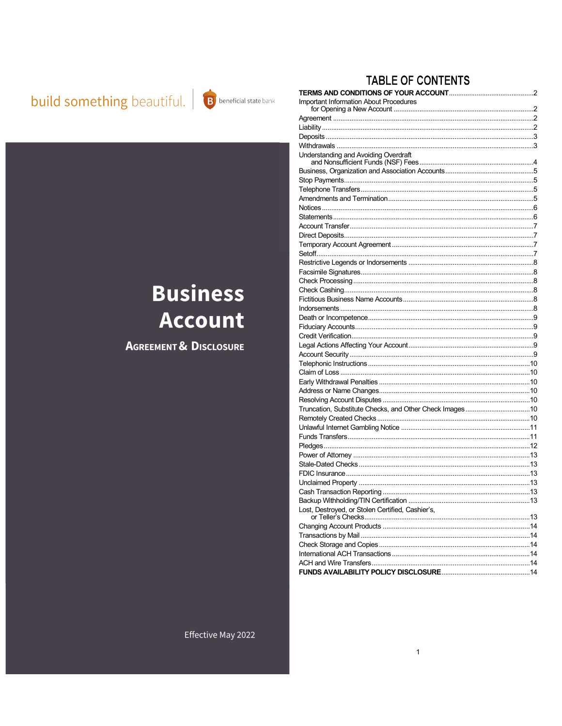# **build something** beautiful. **B** beneficial state bank



## **TABLE OF CONTENTS**

| <b>Important Information About Procedures</b>           |  |
|---------------------------------------------------------|--|
|                                                         |  |
|                                                         |  |
|                                                         |  |
|                                                         |  |
| Understanding and Avoiding Overdraft                    |  |
|                                                         |  |
|                                                         |  |
|                                                         |  |
|                                                         |  |
|                                                         |  |
|                                                         |  |
|                                                         |  |
|                                                         |  |
|                                                         |  |
|                                                         |  |
|                                                         |  |
|                                                         |  |
|                                                         |  |
|                                                         |  |
|                                                         |  |
|                                                         |  |
|                                                         |  |
|                                                         |  |
|                                                         |  |
|                                                         |  |
|                                                         |  |
|                                                         |  |
|                                                         |  |
|                                                         |  |
|                                                         |  |
|                                                         |  |
| Truncation, Substitute Checks, and Other Check Images10 |  |
|                                                         |  |
|                                                         |  |
|                                                         |  |
|                                                         |  |
|                                                         |  |
|                                                         |  |
|                                                         |  |
|                                                         |  |
|                                                         |  |
|                                                         |  |
| Lost, Destroyed, or Stolen Certified, Cashier's,        |  |
|                                                         |  |
|                                                         |  |
|                                                         |  |
|                                                         |  |
|                                                         |  |

**Account AGREEMENT & DISCLOSURE** 

**Business**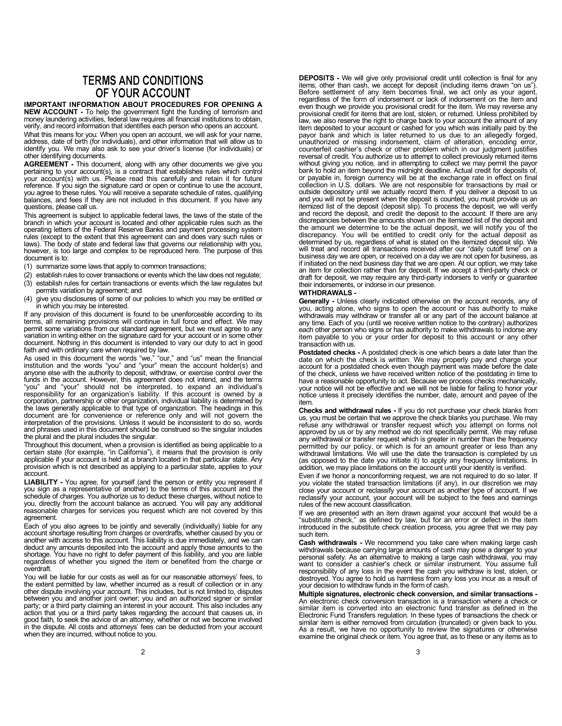### **TERMS AND CONDITIONS** OF YOUR ACCOUNT

IMPORTANT INFORMATION ABOUT PROCEDURES FOR OPENING A NEW ACCOUNT - To help the government fight the funding of terrorism and money laundering activities, federal law requires all financial institutions to obtain, verify, and record information that identifies each person who opens an account. What this means for you: When you open an account, we will ask for your name, address, date of birth (for individuals), and other information that will allow us to identify you. We may also ask to see your driver's license (for individuals) or other identifying documents.

AGREEMENT - This document, along with any other documents we give you pertaining to your account(s), is a contract that establishes rules which control your account(s) with us. Please read this carefully and retain it for future reference. If you sign the signature card or open or continue to use the account, you agree to these rules. You will receive a separate schedule of rates, qualifying balances, and fees if they are not included in this document. If you have any questions, please call us.

This agreement is subject to applicable federal laws, the laws of the state of the branch in which your account is located and other applicable rules such as the operating letters of the Federal Reserve Banks and payment processing system rules (except to the extent that this agreement can and does vary such rules or laws). The body of state and federal law that governs our relationship with you, however, is too large and complex to be reproduced here. The purpose of this document is to:

- (1) summarize some laws that apply to common transactions;
- (2) establish rules to cover transactions or events which the law does not regulate;
- (3) establish rules for certain transactions or events which the law regulates but permits variation by agreement; and
- (4) give you disclosures of some of our policies to which you may be entitled or in which you may be interested.

If any provision of this document is found to be unenforceable according to its terms, all remaining provisions will continue in full force and effect. We may permit some variations from our standard agreement, but we must agree to any variation in writing either on the signature card for your account or in some other document. Nothing in this document is intended to vary our duty to act in good faith and with ordinary care when required by law.

As used in this document the words "we," "our," and "us" mean the financial institution and the words "you" and "your" mean the account holder(s) and anyone else with the authority to deposit, withdraw, or exercise control over the funds in the account. However, this agreement does not intend, and the terms "you" and "your" should not be interpreted, to expand an individual's responsibility for an organization's liability. If this account is owned by a corporation, partnership or other organization, individual liability is determined by the laws generally applicable to that type of organization. The headings in this document are for convenience or reference only and will not govern the interpretation of the provisions. Unless it would be inconsistent to do so, words and phrases used in this document should be construed so the singular includes the plural and the plural includes the singular.

Throughout this document, when a provision is identified as being applicable to a certain state (for example, "in California"), it means that the provision is only applicable if your account is held at a branch located in that particular state. Any provision which is not described as applying to a particular state, applies to your account.

**LIABILITY** - You agree, for yourself (and the person or entity you represent if you sign as a representative of another) to the terms of this account and the schedule of charges. You authorize us to deduct these charges, you, directly from the account balance as accrued. You will pay any additional reasonable charges for services you request which are not covered by this agreement.

Each of you also agrees to be jointly and severally (individually) liable for any<br>account shortage resulting from charges or overdrafts, whether caused by you or<br>another with access to this account. This liability is due i deduct any amounts deposited into the account and apply those amounts to the<br>shortage. You have no right to defer payment of this liability, and you are liable<br>regardless of whether you signed the item or benefited from th overdraft.

You will be liable for our costs as well as for our reasonable attorneys' fees, to the extent permitted by law, whether incurred as a result of collection or in any other dispute involving your account. This includes, but is not limited to, disputes<br>between you and another joint owner; you and an authorized signer or similar<br>party; or a third party claiming an interest in your account when they are incurred, without notice to you.

DEPOSITS - We will give only provisional credit until collection is final for any items, other than cash, we accept for deposit (including items drawn "on us").<br>Before settlement of any item becomes final, we act only as your agent,<br>regardless of the form of indorsement or lack of indorsement on the ite even though we provide you provisional credit for the item. We may reverse any provisional credit for items that are lost, stolen, or returned. Unless prohibited by law, we also reserve the right to charge back to your account the amount of any item deposited to your account or cashed for you which was initially paid by the payor bank and which is later returned to us due to an allegedly forged, unauthorized or missing indorsement, claim of alteration, encoding error, counterfeit cashier's check or other problem which in our judgment justifies reversal of credit. You authorize us to attempt to collect previously returned items without giving you notice, and in attempting to collect we may permit the payor bank to hold an item beyond the midnight deadline. Actual credit for deposits of, or payable in, foreign currency will be at the exchange rate in effect on final collection in U.S. dollars. We are not responsible for transactions by mail or<br>outside depository until we actually record them. If you deliver a deposit to us<br>and you will not be present when the deposit is counted, you m itemized list of the deposit (deposit slip). To process the deposit, we will verify and record the deposit, and credit the deposit to the account. If there are any discrepancies between the amounts shown on the itemized list of the deposit and the amount we determine to be the actual deposit, we will notify you of the discrepancy. You will be entitled to credit only for the actual deposit as determined by us, regardless of what is stated on the itemized deposit slip. We will treat and record all transactions received after our "daily cutoff time" on a business day we are open, or received on a day we are not open for business, as if initiated on the next business day that we are open. At our option, we may take an item for collection rather than for deposit. If we accept a third-party check or draft for deposit, we may require any third-party indorsers to verify or guarantee their indorsements, or indorse in our presence.

#### WITHDRAWALS -

Generally - Unless clearly indicated otherwise on the account records, any of you, acting alone, who signs to open the account or has authority to make withdrawals may withdraw or transfer all or any part of the account balance at any time. Each of you (until we receive written notice to the contrary) authorizes each other person who signs or has authority to make withdrawals to indorse any item payable to you or your order for deposit to this account or any other transaction with us.

Postdated checks - A postdated check is one which bears a date later than the date on which the check is written. We may properly pay and charge your account for a postdated check even though payment was made before the date of the check, unless we have received written notice of the postdating in time to have a reasonable opportunity to act. Because we process checks mechanically, your notice will not be effective and we will not be liable for failing to honor your notice unless it precisely identifies the number, date, amount and payee of the item.

Checks and withdrawal rules - If you do not purchase your check blanks from us, you must be certain that we approve the check blanks you purchase. We may refuse any withdrawal or transfer request which you attempt on forms not approved by us or by any method we do not specifically permit. We may refuse any withdrawal or transfer request which is greater in number than the frequency permitted by our policy, or which is for an amount greater or less than any withdrawal limitations. We will use the date the transaction is completed by us (as opposed to the date you initiate it) to apply any frequency limitations. In addition, we may place limitations on the account until your identity is verified.

Even if we honor a nonconforming request, we are not required to do so later. If you violate the stated transaction limitations (if any), in our discretion we may close your account or reclassify your account as another type of account. If we reclassify your account, your account will be subject to the fees and earnings rules of the new account classification.

If we are presented with an item drawn against your account that would be a "substitute check," as defined by law, but for an error or defect in the item introduced in the substitute check creation process, you agree that we may pay such item.

Cash withdrawals - We recommend you take care when making large cash withdrawals because carrying large amounts of cash may pose a danger to your<br>personal safety. As an alternative to making a large cash withdrawal, you may<br>want to consider a cashier's check or similar instrument. You assum responsibility of any loss in the event the cash you withdraw is lost, stolen, or destroyed. You agree to hold us harmless from any loss you incur as a result of your decision to withdraw funds in the form of cash.

Multiple signatures, electronic check conversion, and similar transactions - An electronic check conversion transaction is a transaction where a check or similar item is converted into an electronic fund transfer as defined in the Electronic Fund Transfers regulation. In these types of transactions the check or similar item is either removed from circulation (truncated) or given back to you. As a result, we have no opportunity to review the signatures or otherwise examine the original check or item. You agree that, as to these or any items as to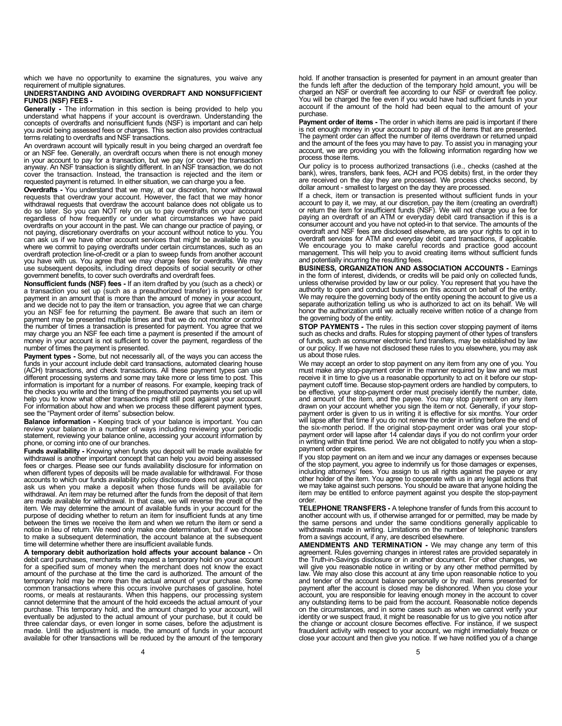which we have no opportunity to examine the signatures, you waive any requirement of multiple signatures.

#### UNDERSTANDING AND AVOIDING OVERDRAFT AND NONSUFFICIENT FUNDS (NSF) FEES -

Generally - The information in this section is being provided to help you understand what happens if your account is overdrawn. Understanding the concepts of overdrafts and nonsufficient funds (NSF) is important and can help you avoid being assessed fees or charges. This section also provides contractual terms relating to overdrafts and NSF transactions.

An overdrawn account will typically result in you being charged an overdraft fee or an NSF fee. Generally, an overdraft occurs when there is not enough money in your account to pay for a transaction, but we pay (or cover) the transaction<br>anyway. An NSF transaction is slightly different. In an NSF transaction, we do not<br>cover the transaction. Instead, the transaction is rejected requested payment is returned. In either situation, we can charge you a fee.

Overdrafts - You understand that we may, at our discretion, honor withdrawal requests that overdraw your account. However, the fact that we may honor withdrawal requests that overdraw the account balance does not obligate us to do so later. So you can NOT rely on us to pay overdrafts on your account regardless of how frequently or under what circumstances we have paid overdrafts on your account in the past. We can change our practice of paying, or<br>not paying, discretionary overdrafts on your account without notice to you. You<br>can ask us if we have other account services that might be av where we commit to paying overdrafts under certain circumstances, such as an overdraft protection line-of-credit or a plan to sweep funds from another account you have with us. You agree that we may charge fees for overdrafts. We may use subsequent deposits, including direct deposits of social security or other government benefits, to cover such overdrafts and overdraft fees.

Nonsufficient funds (NSF) fees - If an item drafted by you (such as a check) or a transaction you set up (such as a preauthorized transfer) is presented for payment in an amount that is more than the amount of money in your account, and we decide not to pay the item or transaction, you agree that we can charge you an NSF fee for returning the payment. Be aware that such an item or payment may be presented multiple times and that we do not monitor or control the number of times a transaction is presented for payment. You agree that we may charge you an NSF fee each time a payment is presented if the amount of money in your account is not sufficient to cover the payment, regardless of the number of times the payment is presented.

Payment types - Some, but not necessarily all, of the ways you can access the funds in your account include debit card transactions, automated clearing house (ACH) transactions, and check transactions. All these payment types can use different processing systems and some may take more or less time to post. This information is important for a number of reasons. For example, keeping track of the checks you write and the timing of the preauthorized payments you set up will help you to know what other transactions might still post against your account. For information about how and when we process these different payment types, see the "Payment order of items" subsection below.

Balance information - Keeping track of your balance is important. You can review your balance in a number of ways including reviewing your periodic statement, reviewing your balance online, accessing your account information by phone, or coming into one of our branches.

Funds availability - Knowing when funds you deposit will be made available for withdrawal is another important concept that can help you avoid being assessed fees or charges. Please see our funds availability disclosure for information on when different types of deposits will be made available for withdrawal. For those accounts to which our funds availability policy disclosure does not apply, you can ask us when you make a deposit when those funds will be available for withdrawal. An item may be returned after the funds from the deposit of that item are made available for withdrawal. In that case, we will reverse the credit of the item. We may determine the amount of available funds in your account for the purpose of deciding whether to return an item for insufficient funds at any time between the times we receive the item and when we return the item or send a notice in lieu of return. We need only make one determination, but if we choose to make a subsequent determination, the account balance at the subsequent time will determine whether there are insufficient available funds.

A temporary debit authorization hold affects your account balance - On debit card purchases, merchants may request a temporary hold on your account for a specified sum of money when the merchant does not know the exact amount of the purchase at the time the card is authorized. The amount of the temporary hold may be more than the actual amount of your purchase. Some common transactions where this occurs involve purchases of gasoline, hotel rooms, or meals at restaurants. When this happens, our processing system cannot determine that the amount of the hold exceeds the actual amount of your purchase. This temporary hold, and the amount charged to your account, eventually be adjusted to the actual amount of your purchase, but it could be three calendar days, or even longer in some cases, before the adjustment is made. Until the adjustment is made, the amount of funds in your account available for other transactions will be reduced by the amount of the temporary

hold. If another transaction is presented for payment in an amount greater than the funds left after the deduction of the temporary hold amount, you will be charged an NSF or overdraft fee according to our NSF or overdraft fee policy. You will be charged the fee even if you would have had sufficient funds in your account if the amount of the hold had been equal to the amount of your purchase.

Payment order of items - The order in which items are paid is important if there is not enough money in your account to pay all of the items that are presented.<br>The payment order can affect the number of items overdrawn or returned unpaid<br>and the amount of the fees you may have to pay. To assist you in account, we are providing you with the following information regarding how we process those items.

Our policy is to process authorized transactions (i.e., checks (cashed at the bank), wires, transfers, bank fees, ACH and POS debits) first, in the order they are received on the day they are processed. We process checks second, by dollar amount - smallest to largest on the day they are processed.

If a check, item or transaction is presented without sufficient funds in your account to pay it, we may, at our discretion, pay the item (creating an overdraft) or return the item for insufficient funds (NSF). We will not charge you a fee for paying an overdraft of an ATM or everyday debit card transaction if this is a consumer account and you have not opted-in to that service. The amounts of the overdraft and NSF fees are disclosed elsewhere, as are your rights to opt in to overdraft services for ATM and everyday debit card transactions, if applicable. We encourage you to make careful records and practice good account management. This will help you to avoid creating items without sufficient funds and potentially incurring the resulting fees.

BUSINESS, ORGANIZATION AND ASSOCIATION ACCOUNTS - Earnings in the form of interest, dividends, or credits will be paid only on collected funds, unless otherwise provided by law or our policy. You represent that you have the authority to open and conduct business on this account on behalf of the entity. We may require the governing body of the entity opening the account to give us a separate authorization telling us who is authorized to act on its behalf. We will honor the authorization until we actually receive written notice of a change from the governing body of the entity.

STOP PAYMENTS - The rules in this section cover stopping payment of items such as checks and drafts. Rules for stopping payment of other types of transfers of funds, such as consumer electronic fund transfers, may be established by law or our policy. If we have not disclosed these rules to you elsewhere, you may ask us about those rules.

We may accept an order to stop payment on any item from any one of you. You must make any stop-payment order in the manner required by law and we must receive it in time to give us a reasonable opportunity to act on it before our stop-payment cutoff time. Because stop-payment orders are handled by computers, to be effective, your stop-payment order must precisely identify the number, date, and amount of the item, and the payee. You may stop payment on any item drawn on your account whether you sign the item or not. Generally, if your stoppayment order is given to us in writing it is effective for six months. Your order will lapse after that time if you do not renew the order in writing before the end of the six-month period. If the original stop-payment order was oral your stop-<br>payment order will lapse after 14 calendar days if you do not confirm your order<br>in writing within that time period. We are not obligated to noti payment order expires.

If you stop payment on an item and we incur any damages or expenses because of the stop payment, you agree to indemnify us for those damages or expenses, including attorneys' fees. You assign to us all rights against the payee or any other holder of the item. You agree to cooperate with us in any legal actions that we may take against such persons. You should be aware that anyone holding the item may be entitled to enforce payment against you despite the stop-payment order.

TELEPHONE TRANSFERS - A telephone transfer of funds from this account to another account with us, if otherwise arranged for or permitted, may be made by the same persons and under the same conditions generally applicable to withdrawals made in writing. Limitations on the number of telephonic transfers from a savings account, if any, are described elsewhere.

AMENDMENTS AND TERMINATION - We may change any term of this agreement. Rules governing changes in interest rates are provided separately in the Truth-in-Savings disclosure or in another document. For other changes, we will give you reasonable notice in writing or by any other method permitted by law. We may also close this account at any time upon reasonable notice to you and tender of the account balance personally or by mail. Items presented for payment after the account is closed may be dishonored. When you close your account, you are responsible for leaving enough money in the account to cover any outstanding items to be paid from the account. Reasonable notice depends on the circumstances, and in some cases such as when we cannot verify your identity or we suspect fraud, it might be reasonable for us to give you notice after the change or account closure becomes effective. For instance, if we suspect fraudulent activity with respect to your account, we might immediately freeze or close your account and then give you notice. If we have notified you of a change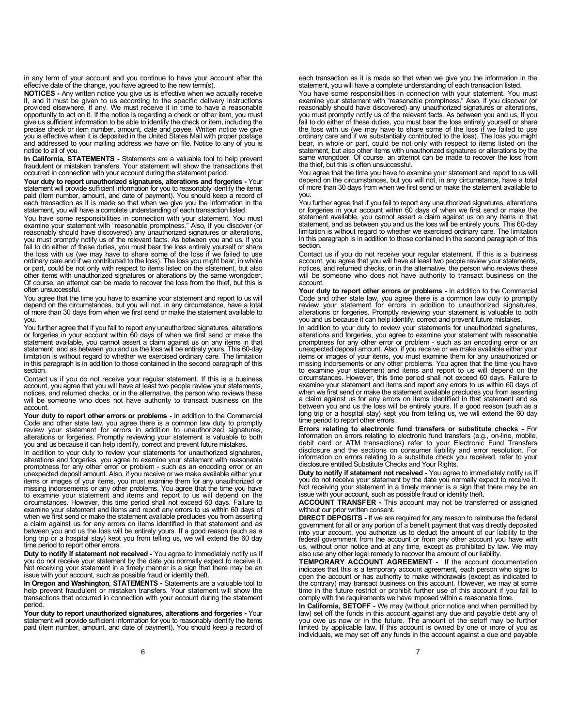in any term of your account and you continue to have your account after the effective date of the change, you have agreed to the new term(s).

NOTICES - Any written notice you give us is effective when we actually receive it, and it must be given to us according to the specific delivery instructions provided elsewhere, if any. We must receive it in time to have a reasonable opportunity to act on it. If the notice is regarding a check or other item, you must<br>give us sufficient information to be able to identify the check or item, including the<br>precise check or item number, amount, date and pay notice to all of you.

In California, STATEMENTS - Statements are a valuable tool to help prevent fraudulent or mistaken transfers. Your statement will show the transactions that occurred in connection with your account during the statement period.

Your duty to report unauthorized signatures, alterations and forgeries - Your statement will provide sufficient information for you to reasonably identify the items paid (item number, amount, and date of payment). You should keep a record of each transaction as it is made so that when we give you the information in the statement, you will have a complete understanding of each transaction listed.

You have some responsibilities in connection with your statement. You must examine your statement with "reasonable promptness." Also, if you discover (or reasonably should have discovered) any unauthorized signatures or alterations, you must promptly notify us of the relevant facts. As between you and us, if you fail to do either of these duties, you must bear the loss entirely yourself or share the loss with us (we may have to share some of the loss if we failed to use ordinary care and if we contributed to the loss). The loss you might bear, in whole or part, could be not only with respect to items listed on the statement, but also other items with unauthorized signatures or alterations by the same wrongdoer. Of course, an attempt can be made to recover the loss from the thief, but this is often unsuccessful.

You agree that the time you have to examine your statement and report to us will depend on the circumstances, but you will not, in any circumstance, have a total of more than 30 days from when we first send or make the statement available to you.

You further agree that if you fail to report any unauthorized signatures, alterations or forgeries in your account within 60 days of when we first send or make the statement available, you cannot assert a claim against us on any items in that statement, and as between you and us the loss will be entirely yours. This 60-day limitation is without regard to whether we exercised ordinary care. The limitation in this paragraph is in addition to those contained in the second paragraph of this section.

Contact us if you do not receive your regular statement. If this is a business account, you agree that you will have at least two people review your statements, notices, and returned checks, or in the alternative, the person who reviews these will be someone who does not have authority to transact business on the account.

Your duty to report other errors or problems - In addition to the Commercial Code and other state law, you agree there is a common law duty to promptly review your statement for errors in addition to unauthorized signatures, alterations or forgeries. Promptly reviewing your statement is valuable to both you and us because it can help identify, correct and prevent future mistakes.

In addition to your duty to review your statements for unauthorized signatures, alterations and forgeries, you agree to examine your statement with reasonable promptness for any other error or problem - such as an encoding error or an unexpected deposit amount. Also, if you receive or we make available either your items or images of your items, you must examine them for any unauthorized or missing indorsements or any other problems. You agree that the time you have to examine your statement and items and report to us will depend on the circumstances. However, this time period shall not exceed 60 days. Failure to examine your statement and items and report any errors to us within 60 days of when we first send or make the statement available precludes you from asserting a claim against us for any errors on items identified in that statement and as between you and us the loss will be entirely yours. If a good reason (such as a long trip or a hospital stay) kept you from telling us, we will extend the 60 day time period to report other errors.

Duty to notify if statement not received - You agree to immediately notify us if you do not receive your statement by the date you normally expect to receive it. Not receiving your statement in a timely manner is a sign that there may be an issue with your account, such as possible fraud or identity theft.

In Oregon and Washington, STATEMENTS - Statements are a valuable tool to help prevent fraudulent or mistaken transfers. Your statement will show the transactions that occurred in connection with your account during the statement period.

Your duty to report unauthorized signatures, alterations and forgeries - Your statement will provide sufficient information for you to reasonably identify the items paid (item number, amount, and date of payment). You should keep a record of each transaction as it is made so that when we give you the information in the statement, you will have a complete understanding of each transaction listed.

You have some responsibilities in connection with your statement. You must<br>examine your statement with "reasonable promptness." Also, if you discover (or<br>reasonably should have discovered) any unauthorized signatures or al you must promptly notify us of the relevant facts. As between you and us, if you<br>fail to do either of these duties, you must bear the loss entirely yourself or share<br>the loss with us (we may have to share some of the loss ordinary care and if we substantially contributed to the loss). The loss you might bear, in whole or part, could be not only with respect to items listed on the statement, but also other items with unauthorized signatures or alterations by the same wrongdoer. Of course, an attempt can be made to recover the loss from the thief, but this is often unsuccessful.

You agree that the time you have to examine your statement and report to us will depend on the circumstances, but you will not, in any circumstance, have a total of more than 30 days from when we first send or make the statement available to you.

You further agree that if you fail to report any unauthorized signatures, alterations or forgeries in your account within 60 days of when we first send or make the statement available, you cannot assert a claim against us on any items in that statement, and as between you and us the loss will be entirely yours. This 60-day limitation is without regard to whether we exercised ordinary care. The limitation in this paragraph is in addition to those contained in the second paragraph of this section.

Contact us if you do not receive your regular statement. If this is a business account, you agree that you will have at least two people review your statements, notices, and returned checks, or in the alternative, the person who reviews these will be someone who does not have authority to transact business on the account.

Your duty to report other errors or problems - In addition to the Commercial Code and other state law, you agree there is a common law duty to promptly review your statement for errors in addition to unauthorized signature alterations or forgeries. Promptly reviewing your statement is valuable to both you and us because it can help identify, correct and prevent future mistakes.

In addition to your duty to review your statements for unauthorized signatures, alterations and forgeries, you agree to examine your statement with reasonable promptness for any other error or problem - such as an encoding error or an unexpected deposit amount. Also, if you receive or we make available either your<br>items or images of your items, you must examine them for any unauthorized or<br>missing indorsements or any other problems. You agree that the t circumstances. However, this time period shall not exceed 60 days. Failure to examine your statement and items and report any errors to us within 60 days of when we first send or make the statement available precludes you from asserting a claim against us for any errors on items identified in that statement and as between you and us the loss will be entirely yours. If a good reason (such as a long trip or a hospital stay) kept you from telling us, we will extend the 60 day time period to report other errors.

Errors relating to electronic fund transfers or substitute checks - For information on errors relating to electronic fund transfers (e.g., on-line, mobile, debit card or ATM transactions) refer to your Electronic Fund Transfers disclosure and the sections on consumer liability and error resolution. For information on errors relating to a substitute check you received, refer to your disclosure entitled Substitute Checks and Your Rights.

Duty to notify if statement not received - You agree to immediately notify us if you do not receive your statement by the date you normally expect to receive it. Not receiving your statement in a timely manner is a sign that there may be an issue with your account, such as possible fraud or identity theft.

ACCOUNT TRANSFER - This account may not be transferred or assigned without our prior written consent.

DIRECT DEPOSITS - If we are required for any reason to reimburse the federal government for all or any portion of a benefit payment that was directly deposited into your account, you authorize us to deduct the amount of our liability to the federal government from the account or from any other account you have with us, without prior notice and at any time, except as prohibited by law. We may also use any other legal remedy to recover the amount of our liability.

TEMPORARY ACCOUNT AGREEMENT - If the account documentation indicates that this is a temporary account agreement, each person who signs to<br>open the account or has authority to make withdrawals (except as indicated to<br>the contrary) may transact business on this account. However, we time in the future restrict or prohibit further use of this account if you fail to comply with the requirements we have imposed within a reasonable time.

In California. SETOFF - We may (without prior notice and when permitted by law) set off the funds in this account against any due and payable debt any of<br>you owe us now or in the future. The amount of the setoff may be further<br>limited by applicable law. If this account is owned by one or more of individuals, we may set off any funds in the account against a due and payable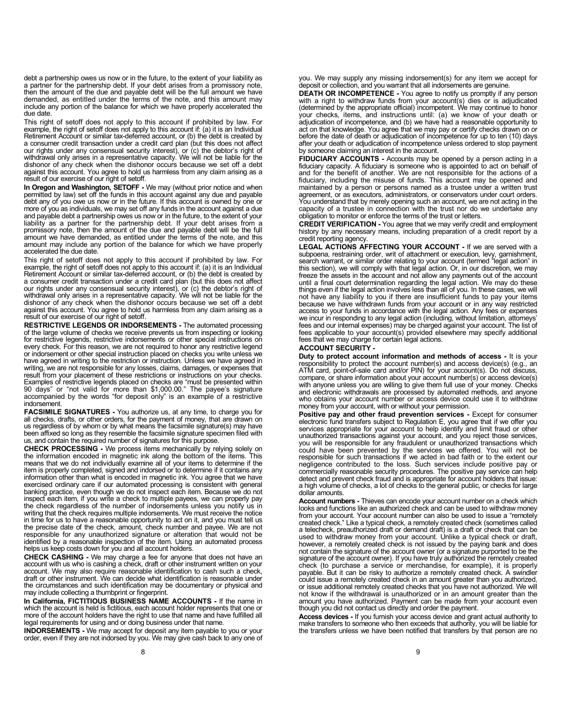debt a partnership owes us now or in the future, to the extent of your liability as a partner for the partnership debt. If your debt arises from a promissory note, then the amount of the due and payable debt will be the full amount we have demanded, as entitled under the terms of the note, and this amount may include any portion of the balance for which we have properly accelerated the due date.

This right of setoff does not apply to this account if prohibited by law. For example, the right of setoff does not apply to this account if: (a) it is an Individual Retirement Account or similar tax-deferred account, or (b) the debt is created by a consumer credit transaction under a credit card plan (but this does not affect our rights under any consensual security interest), or (c) the debtor's right of<br>withdrawal only arises in a representative capacity. We will not be liable for the<br>dishonor of any check when the dishonor occurs because we against this account. You agree to hold us harmless from any claim arising as a result of our exercise of our right of setoff.

In Oregon and Washington, SETOFF - We may (without prior notice and when permitted by law) set off the funds in this account against any due and payable debt any of you owe us now or in the future. If this account is owned by one or more of you as individuals, we may set off any funds in the account against a due and payable debt a partnership owes us now or in the future, to the extent of your liability as a partner for the partnership debt. If your debt arises from a promissory note, then the amount of the due and payable debt will be the full amount we have demanded, as entitled under the terms of the note, and this amount may include any portion of the balance for which we have properly accelerated the due date.

This right of setoff does not apply to this account if prohibited by law. For<br>example, the right of setoff does not apply to this account if: (a) it is an Individual<br>Retirement Account or similar tax-deferred account, or ( a consumer credit transaction under a credit card plan (but this does not affect<br>our rights under any consensual security interest), or (c) the debtor's right of<br>withdrawal only arises in a representative capacity. We will against this account. You agree to hold us harmless from any claim arising as a result of our exercise of our right of setoff.

RESTRICTIVE LEGENDS OR INDORSEMENTS - The automated processing of the large volume of checks we receive prevents us from inspecting or looking for restrictive legends, restrictive indorsements or other special instructions on every check. For this reason, we are not required to honor any restrictive legend or indorsement or other special instruction placed on checks you write unless we have agreed in writing to the restriction or instruction. Unless we have agreed in writing, we are not responsible for any losses, claims, damages, or expenses that result from your placement of these restrictions or instructions on your checks. Examples of restrictive legends placed on checks are "must be presented within 90 days" or "not valid for more than \$1,000.00." The payee's signature accompanied by the words "for deposit only" is an example of a restrictive indorsement.

**FACSIMILE SIGNATURES** - You authorize us, at any time, to charge you for<br>all checks, drafts, or other orders, for the payment of money, that are drawn on us regardless of by whom or by what means the facsimile signature(s) may have been affixed so long as they resemble the facsimile signature specimen filed with us, and contain the required number of signatures for this purpose.

CHECK PROCESSING - We process items mechanically by relying solely on the information encoded in magnetic ink along the bottom of the items. This means that we do not individually examine all of your items to determine if the item is properly completed, signed and indorsed or to determine if it contains any information other than what is encoded in magnetic ink. You agree that we have exercised ordinary care if our automated processing is consistent with general banking practice, even though we do not inspect each item. Because we do not inspect each item, if you write a check to multiple payees, we can properly pay the check regardless of the number of indorsements unless you notify us in writing that the check requires multiple indorsements. We must receive the notice in time for us to have a reasonable opportunity to act on it, and you must tell us the precise date of the check, amount, check number and payee. We are not responsible for any unauthorized signature or alteration that would not be identified by a reasonable inspection of the item. Using an automated process helps us keep costs down for you and all account holders.

CHECK CASHING - We may charge a fee for anyone that does not have an account with us who is cashing a check, draft or other instrument written on your account. We may also require reasonable identification to cash such a check, draft or other instrument. We can decide what identification is reasonable under the circumstances and such identification may be documentary or physical and may include collecting a thumbprint or fingerprint.

In California, FICTITIOUS BUSINESS NAME ACCOUNTS - If the name in which the account is held is fictitious, each account holder represents that one or more of the account holders have the right to use that name and have fulfilled all legal requirements for using and or doing business under that name.

INDORSEMENTS - We may accept for deposit any item payable to you or your order, even if they are not indorsed by you. We may give cash back to any one of you. We may supply any missing indorsement(s) for any item we accept for deposit or collection, and you warrant that all indorsements are genuine.

DEATH OR INCOMPETENCE - You agree to notify us promptly if any person with a right to withdraw funds from your account(s) dies or is adjudicated (determined by the appropriate official) incompetent. We may continue to honor your checks, items, and instructions until: (a) we know of your death or adjudication of incompetence, and (b) we have had a reasonable opportunity to act on that knowledge. You agree that we may pay or certify checks drawn on or<br>before the date of death or adjudication of incompetence for up to ten (10) days<br>after your death or adjudication of incompetence unless ordere by someone claiming an interest in the account.

FIDUCIARY ACCOUNTS - Accounts may be opened by a person acting in a fiduciary capacity. A fiduciary is someone who is appointed to act on behalf of and for the benefit of another. We are not responsible for the actions of a fiduciary, including the misuse of funds. This account may be opened and maintained by a person or persons named as a trustee under a written trust agreement, or as executors, administrators, or conservators under court orders. You understand that by merely opening such an account, we are not acting in the capacity of a trustee in connection with the trust nor do we undertake any obligation to monitor or enforce the terms of the trust or letters.

CREDIT VERIFICATION - You agree that we may verify credit and employment history by any necessary means, including preparation of a credit report by a credit reporting agency.

LEGAL ACTIONS AFFECTING YOUR ACCOUNT - If we are served with a subpoena, restraining order, writ of attachment or execution, levy, garnishment, search warrant, or similar order relating to your account (termed "legal action" in this section), we will comply with that legal action. Or, in our discretion, we may freeze the assets in the account and not allow any payments out of the account until a final court determination regarding the legal action. We may do these things even if the legal action involves less than all of you. In these cases, we will not have any liability to you if there are insufficient funds to pay your items because we have withdrawn funds from your account or in any way restricted<br>access to your funds in accordance with the legal action. Any fees or expenses<br>we incur in responding to any legal action (including, without limit fees and our internal expenses) may be charged against your account. The list of fees applicable to your account(s) provided elsewhere may specify additional fees that we may charge for certain legal actions.

#### ACCOUNT SECURITY -

Duty to protect account information and methods of access - It is your responsibility to protect the account number(s) and access device(s) (e.g., an ATM card, point-of-sale card and/or PIN) for your account(s). Do not discuss, compare, or share information about your account number(s) or access device(s) with anyone unless you are willing to give them full use of your money. Checks and electronic withdrawals are processed by automated methods, and anyone who obtains your account number or access device could use it to withdraw money from your account, with or without your permission.

Positive pay and other fraud prevention services - Except for consumer electronic fund transfers subject to Regulation E, you agree that if we offer you services appropriate for your account to help identify and limit fraud or other unauthorized transactions against your account, and you reject those services, you will be responsible for any fraudulent or unauthorized transactions which could have been prevented by the services we offered. You will not be responsible for such transactions if we acted in bad faith or to the extent our negligence contributed to the loss. Such services include positive pay or commercially reasonable security procedures. The positive pay service can help detect and prevent check fraud and is appropriate for account holders that issue: a high volume of checks, a lot of checks to the general public, or checks for large dollar amounts.

Account numbers - Thieves can encode your account number on a check which looks and functions like an authorized check and can be used to withdraw money from your account. Your account number can also be used to issue a "remotely created check." Like a typical check, a remotely created check (sometimes called a telecheck, preauthorized draft or demand draft) is a draft or check that can be used to withdraw money from your account. Unlike a typical check or draft, however, a remotely created check is not issued by the paying bank and does not contain the signature of the account owner (or a signature purported to be the signature of the account owner). If you have truly authorized the remotely created check (to purchase a service or merchandise, for example), it is properly payable. But it can be risky to authorize a remotely created check. A swindler could issue a remotely created check in an amount greater than you authorized, or issue additional remotely created checks that you have not authorized. We will not know if the withdrawal is unauthorized or in an amount greater than the amount you have authorized. Payment can be made from your account even though you did not contact us directly and order the payment.

Access devices - If you furnish your access device and grant actual authority to make transfers to someone who then exceeds that authority, you will be liable for the transfers unless we have been notified that transfers by that person are no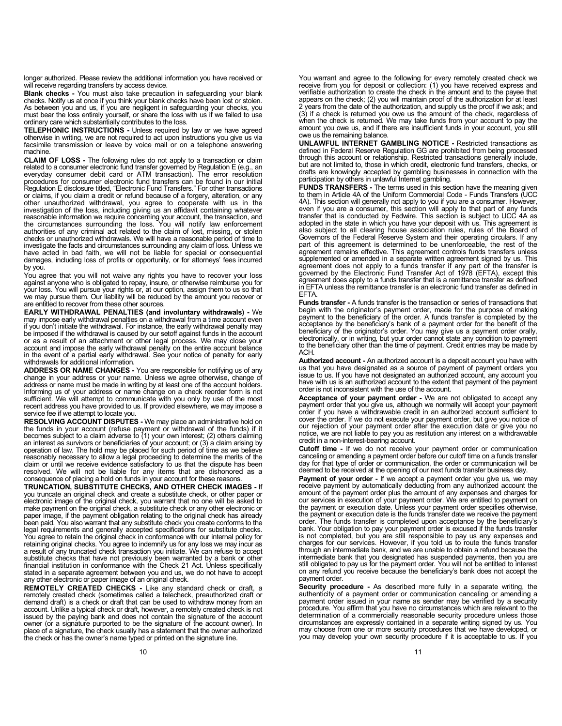longer authorized. Please review the additional information you have received or will receive regarding transfers by access device.

Blank checks - You must also take precaution in safeguarding your blank checks. Notify us at once if you think your blank checks have been lost or stolen. As between you and us, if you are negligent in safeguarding your checks, you must bear the loss entirely yourself, or share the loss with us if we failed to use ordinary care which substantially contributes to the loss.

TELEPHONIC INSTRUCTIONS - Unless required by law or we have agreed otherwise in writing, we are not required to act upon instructions you give us via facsimile transmission or leave by voice mail or on a telephone answering machine.

**CLAIM OF LOSS -** The following rules do not apply to a transaction or claim related to a consumer electronic fund transfer governed by Regulation E (e.g., an everyday consumer debit card or ATM transaction). The error res procedures for consumer electronic fund transfers can be found in our initial Regulation E disclosure titled, "Electronic Fund Transfers." For other transactions or claims, if you claim a credit or refund because of a forgery, alteration, or any other unauthorized withdrawal, you agree to cooperate with us in the investigation of the loss, including giving us an affidavit containing whatever reasonable information we require concerning your account, the transaction, and<br>the circumstances surrounding the loss. You will notify law enforcement<br>authorities of any criminal act related to the claim of lost, missing, checks or unauthorized withdrawals. We will have a reasonable period of time to investigate the facts and circumstances surrounding any claim of loss. Unless we have acted in bad faith, we will not be liable for special or consequential damages, including loss of profits or opportunity, or for attorneys' fees incurred by you.

You agree that you will not waive any rights you have to recover your loss against anyone who is obligated to repay, insure, or otherwise reimburse you for your loss. You will pursue your rights or, at our option, assign them to us so that we may pursue them. Our liability will be reduced by the amount you recover or are entitled to recover from these other sources.

EARLY WITHDRAWAL PENALTIES (and involuntary withdrawals) - We may impose early withdrawal penalties on a withdrawal from a time account even if you don't initiate the withdrawal. For instance, the early withdrawal penalty may be imposed if the withdrawal is caused by our setoff against funds in the account or as a result of an attachment or other legal process. We may close your account and impose the early withdrawal penalty on the entire account balance in the event of a partial early withdrawal. See your notice of penalty for early withdrawals for additional information.

ADDRESS OR NAME CHANGES - You are responsible for notifying us of any change in your address or your name. Unless we agree otherwise, change of address or name must be made in writing by at least one of the account holders. Informing us of your address or name change on a check reorder form is not sufficient. We will attempt to communicate with you only by use of the most recent address you have provided to us. If provided elsewhere, we may impose a service fee if we attempt to locate you.

RESOLVING ACCOUNT DISPUTES - We may place an administrative hold on<br>the funds in your account (refuse payment or withdrawal of the funds) if it becomes subject to a claim adverse to (1) your own interest; (2) others claiming an interest as survivors or beneficiaries of your account; or (3) a claim arising by operation of law. The hold may be placed for such period of time as we believe reasonably necessary to allow a legal proceeding to determine the merits of the claim or until we receive evidence satisfactory to us that the dispute has been resolved. We will not be liable for any items that are dishonored as a consequence of placing a hold on funds in your account for these reasons.

TRUNCATION, SUBSTITUTE CHECKS, AND OTHER CHECK IMAGES - If you truncate an original check and create a substitute check, or other paper or<br>electronic image of the original check, you warrant that no one will be asked to<br>make payment on the original check, a substitute check or any paper image, if the payment obligation relating to the original check has already been paid. You also warrant that any substitute check you create conforms to the legal requirements and generally accepted specifications for substitute checks. You agree to retain the original check in conformance with our internal policy for retaining original checks. You agree to indemnify us for any loss we may incur as a result of any truncated check transaction you initiate. We can refuse to accept substitute checks that have not previously been warranted by a bank or other financial institution in conformance with the Check 21 Act. Unless specifically stated in a separate agreement between you and us, we do not have to accept any other electronic or paper image of an original check.

REMOTELY CREATED CHECKS - Like any standard check or draft, a remotely created check (sometimes called a telecheck, preauthorized draft or demand draft) is a check or draft that can be used to withdraw money from an account. Unlike a typical check or draft, however, a remotely created check is not issued by the paying bank and does not contain the signature of the account owner (or a signature purported to be the signature of the account owner). In place of a signature, the check usually has a statement that the owner authorized the check or has the owner's name typed or printed on the signature line.

You warrant and agree to the following for every remotely created check we receive from you for deposit or collection: (1) you have received express and<br>verifiable authorization to create the check in the amount and to the payee that<br>appears on the check; (2) you will maintain proof of the author 2 years from the date of the authorization, and supply us the proof if we ask; and (3) if a check is returned you owe us the amount of the check, regardless of when the check is returned. We may take funds from your account to pay the amount you owe us, and if there are insufficient funds in your account, you still owe us the remaining balance.

UNLAWFUL INTERNET GAMBLING NOTICE - Restricted transactions as defined in Federal Reserve Regulation GG are prohibited from being processed through this account or relationship. Restricted transactions generally include, but are not limited to, those in which credit, electronic fund transfers, checks, or drafts are knowingly accepted by gambling businesses in connection with the participation by others in unlawful Internet gambling.

FUNDS TRANSFERS - The terms used in this section have the meaning given to them in Article 4A of the Uniform Commercial Code - Funds Transfers (UCC 4A). This section will generally not apply to you if you are a consumer. However, even if you are a consumer, this section will apply to that part of any funds transfer that is conducted by Fedwire. This section is subject Governors of the Federal Reserve System and their operating circulars. If any part of this agreement is determined to be unenforceable, the rest of the agreement remains effective. This agreement controls funds transfers unless supplemented or amended in a separate written agreement signed by us. This agreement does not apply to a funds transfer if any part of the transfer is governed by the Electronic Fund Transfer Act of 1978 (EFTA), except this agreement does apply to a funds transfer that is a remittance transfer as defined in EFTA unless the remittance transfer is an electronic fund transfer as defined in EFTA.

Funds transfer - A funds transfer is the transaction or series of transactions that begin with the originator's payment order, made for the purpose of making payment to the beneficiary of the order. A funds transfer is completed by the acceptance by the beneficiary's bank of a payment order for the benefit of the beneficiary of the originator's order. You may give us a payment order orally, electronically, or in writing, but your order cannot state any condition to payment to the beneficiary other than the time of payment. Credit entries may be made by ACH.

**Authorized account -** An authorized account is a deposit account you have with<br>us that you have designated as a source of payment of payment orders you<br>issue to us. If you have not designated an authorized account, any ac have with us is an authorized account to the extent that payment of the payment order is not inconsistent with the use of the account.

Acceptance of your payment order - We are not obligated to accept any payment order that you give us, although we normally will accept your payment<br>order if you have a withdrawable credit in an authorized account sufficient to<br>cover the order. If we do not execute your payment order, but giv credit in a non-interest-bearing account.

Cutoff time - If we do not receive your payment order or communication canceling or amending a payment order before our cutoff time on a funds transfer day for that type of order or communication, the order or communication will be deemed to be received at the opening of our next funds transfer business day.

Payment of your order - If we accept a payment order you give us, we may receive payment by automatically deducting from any authorized account the amount of the payment order plus the amount of any expenses and charges for our services in execution of your payment order. We are entitled to payment on the payment or execution date. Unless your payment order specifies otherwise, the payment or execution date is the funds transfer date we receive the payment order. The funds transfer is completed upon acceptance by the beneficiary's bank. Your obligation to pay your payment order is excused if the funds transfer is not completed, but you are still responsible to pay us any expenses and charges for our services. However, if you told us to route the funds transfer through an intermediate bank, and we are unable to obtain a refund because the intermediate bank that you designated has suspended payments, then you are still obligated to pay us for the payment order. You will not be entitled to interest on any refund you receive because the beneficiary's bank does not accept the payment order.

Security procedure - As described more fully in a separate writing, the authenticity of a payment order or communication canceling or amending a payment order issued in your name as sender may be verified by a security procedure. You affirm that you have no circumstances which are relevant to the determination of a commercially reasonable security procedure unless those circumstances are expressly contained in a separate writing signed by us. You may choose from one or more security procedures that we have developed, or you may develop your own security procedure if it is acceptable to us. If you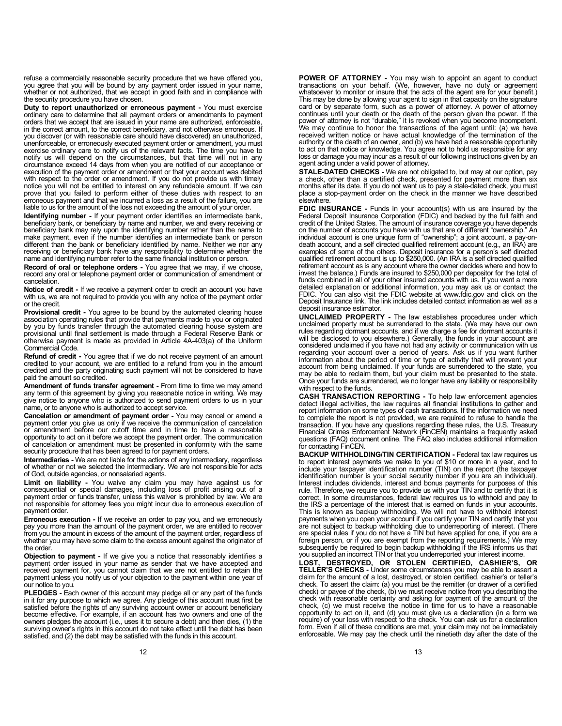refuse a commercially reasonable security procedure that we have offered you, you agree that you will be bound by any payment order issued in your name, whether or not authorized, that we accept in good faith and in compliance with the security procedure you have chosen.

Duty to report unauthorized or erroneous payment - You must exercise ordinary care to determine that all payment orders or amendments to payment orders that we accept that are issued in your name are authorized, enforceable, in the correct amount, to the correct beneficiary, and not otherwise erroneous. If you discover (or with reasonable care should have discovered) an unauthorized, unenforceable, or erroneously executed payment order or amendment, you must exercise ordinary care to notify us of the relevant facts. The time you have to notify us will depend on the circumstances, but that time will not in any circumstance exceed 14 days from when you are notified of our acceptance or execution of the payment order or amendment or that your account was debited with respect to the order or amendment. If you do not provide us with timely notice you will not be entitled to interest on any refundable amount. If we can prove that you failed to perform either of these duties with respect to an erroneous payment and that we incurred a loss as a result of the failure, you are liable to us for the amount of the loss not exceeding the amount of your order.

**Identifying number -** If your payment order identifies an intermediate bank,<br>beneficiary bank, or beneficiary by name and number, we and every receiving or<br>beneficiary bank may rely upon the identifying number rather than make payment, even if the number identifies an intermediate bank or person different than the bank or beneficiary identified by name. Neither we nor any receiving or beneficiary bank have any responsibility to determine whether the name and identifying number refer to the same financial institution or person.

**Record of oral or telephone orders -** You agree that we may, if we choose,<br>record any oral or telephone payment order or communication of amendment or cancelation.

Notice of credit - If we receive a payment order to credit an account you have with us, we are not required to provide you with any notice of the payment order or the credit.

Provisional credit - You agree to be bound by the automated clearing house association operating rules that provide that payments made to you or originated by you by funds transfer through the automated clearing house system are provisional until final settlement is made through a Federal Reserve Bank or otherwise payment is made as provided in Article 4A-403(a) of the Uniform Commercial Code.

**Refund of credit -** You agree that if we do not receive payment of an amount<br>credited to your account, we are entitled to a refund from you in the amount credited and the party originating such payment will not be considered to have paid the amount so credited.

Amendment of funds transfer agreement - From time to time we may amend any term of this agreement by giving you reasonable notice in writing. We may give notice to anyone who is authorized to send payment orders to us in your name, or to anyone who is authorized to accept service.

Cancelation or amendment of payment order - You may cancel or amend a payment order you give us only if we receive the communication of cancelation or amendment before our cutoff time and in time to have a reasonable opportunity to act on it before we accept the payment order. The communication of cancelation or amendment must be presented in conformity with the same security procedure that has been agreed to for payment orders.

Intermediaries - We are not liable for the actions of any intermediary, regardless of whether or not we selected the intermediary. We are not responsible for acts of God, outside agencies, or nonsalaried agents.

Limit on liability - You waive any claim you may have against us for consequential or special damages, including loss of profit arising out of a payment order or funds transfer, unless this waiver is prohibited by law. We are not responsible for attorney fees you might incur due to erroneous execution of payment order.

**Erroneous execution -** If we receive an order to pay you, and we erroneously<br>pay you more than the amount of the payment order, we are entitled to recover from you the amount in excess of the amount of the payment order, regardless of whether you may have some claim to the excess amount against the originator of the order.

Objection to payment - If we give you a notice that reasonably identifies a payment order issued in your name as sender that we have accepted and received payment for, you cannot claim that we are not entitled to retain the payment unless you notify us of your objection to the payment within one year of our notice to you.

PLEDGES - Each owner of this account may pledge all or any part of the funds in it for any purpose to which we agree. Any pledge of this account must first be satisfied before the rights of any surviving account owner or account beneficiary become effective. For example, if an account has two owners and one of the owners pledges the account (i.e., uses it to secure a debt) and then dies, (1) the surviving owner's rights in this account do not take effect until the debt has been satisfied, and (2) the debt may be satisfied with the funds in this account.

POWER OF ATTORNEY - You may wish to appoint an agent to conduct transactions on your behalf. (We, however, have no duty or agreement whatsoever to monitor or insure that the acts of the agent are for your benefit.) This may be done by allowing your agent to sign in that capacity on the signature card or by separate form, such as a power of attorney. A power of attorney<br>continues until your death or the death of the person given the power. If the<br>power of attorney is not "durable," it is revoked when you become inc We may continue to honor the transactions of the agent until: (a) we have received written notice or have actual knowledge of the termination of the authority or the death of an owner, and (b) we have had a reasonable opportunity to act on that notice or knowledge. You agree not to hold us responsible for any loss or damage you may incur as a result of our following instructions given by an agent acting under a valid power of attorney.

STALE-DATED CHECKS - We are not obligated to, but may at our option, pay a check, other than a certified check, presented for payment more than six months after its date. If you do not want us to pay a stale-dated check, you must place a stop-payment order on the check in the manner we have described elsewhere.

FDIC INSURANCE - Funds in your account(s) with us are insured by the Federal Deposit Insurance Corporation (FDIC) and backed by the full faith and<br>credit of the United States. The amount of insurance coverage you have depends<br>on the number of accounts you have with us that are of different individual account is one unique form of "ownership"; a joint account, a pay-on-death account, and a self directed qualified retirement account (e.g., an IRA) are examples of some of the others. Deposit insurance for a person's self directed qualified retirement account is up to \$250,000. (An IRA is a self directed qualified retirement account as is any account where the owner decides where and how to invest the balance.) Funds are insured to \$250,000 per depositor for the total of funds combined in all of your other insured accounts with us. If you want a more detailed explanation or additional information, you may ask us or contact the FDIC. You can also visit the FDIC website at www.fdic.gov and click on the Deposit Insurance link. The link includes detailed contact information as well as a deposit insurance estimator.

UNCLAIMED PROPERTY - The law establishes procedures under which<br>unclaimed property must be surrendered to the state. (We may have our own rules regarding dormant accounts, and if we charge a fee for dormant accounts it will be disclosed to you elsewhere.) Generally, the funds in your account are considered unclaimed if you have not had any activity or communication with us regarding your account over a period of years. Ask us if you want further information about the period of time or type of activity that will prevent your account from being unclaimed. If your funds are surrendered to the state, you may be able to reclaim them, but your claim must be presented to the state. Once your funds are surrendered, we no longer have any liability or responsibility with respect to the funds.

CASH TRANSACTION REPORTING - To help law enforcement agencies detect illegal activities, the law requires all financial institutions to gather and report information on some types of cash transactions. If the information we need to complete the report is not provided, we are required to refuse to handle the transaction. If you have any questions regarding these rules, the U.S. Treasury Financial Crimes Enforcement Network (FinCEN) maintains a frequently asked questions (FAQ) document online. The FAQ also includes additional information for contacting FinCEN.

BACKUP WITHHOLDING/TIN CERTIFICATION - Federal tax law requires us to report interest payments we make to you of \$10 or more in a year, and to include your taxpayer identification number (TIN) on the report (the taxpayer identification number is your social security number if you are an individual). Interest includes dividends, interest and bonus payments for purposes of this rule. Therefore, we require you to provide us with your TIN and to certify that it is correct. In some circumstances, federal law requires us to withhold and pay to the IRS a percentage of the interest that is earned on funds in your accounts. This is known as backup withholding. We will not have to withhold interest payments when you open your account if you certify your TIN and certify that you are not subject to backup withholding due to underreporting of interest. (There are special rules if you do not have a TIN but have applied for one, if you are a foreign person, or if you are exempt from the reporting requ

LOST, DESTROYED, OR STOLEN CERTIFIED, CASHIER'S, OR TELLER'S CHECKS - Under some circumstances you may be able to assert a claim for the amount of a lost, destroyed, or stolen certified, cashier's or teller's check. To assert the claim: (a) you must be the remitter (or drawer of a certified check) or payee of the check, (b) we must receive notice from you describing the check with reasonable certainty and asking for payment of the amount of the check, (c) we must receive the notice in time for us to have a reasonable<br>opportunity to act on it, and (d) you must give us a declaration (in a form we<br>require) of your loss with respect to the check. You can ask us for a form. Even if all of these conditions are met, your claim may not be immediately enforceable. We may pay the check until the ninetieth day after the date of the